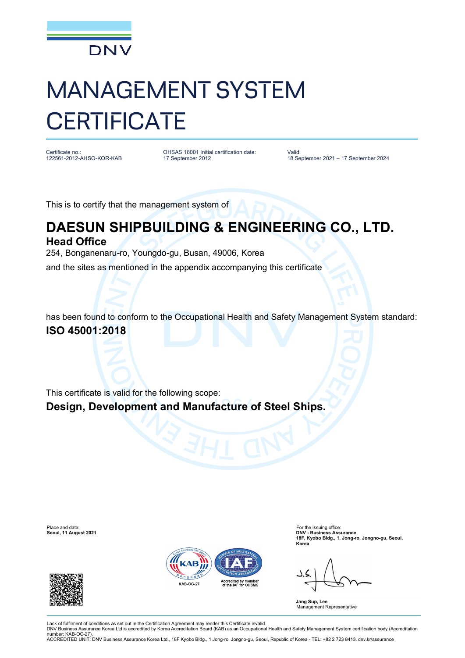

## MANAGEMENT SYSTEM **CERTIFICATE**

Certificate no. 122561-2012-AHSO-KOR-KAB OHSAS 18001 Initial certification date: 17 September 2012

Valid: 18 September 2021 – 17 September 2024

This is to certify that the management system of

## **DAESUN SHIPBUILDING & ENGINEERING CO., LTD. Head Office**

254, Bonganenaru-ro, Youngdo-gu, Busan, 49006, Korea

and the sites as mentioned in the appendix accompanying this certificate

has been found to conform to the Occupational Health and Safety Management System standard: **ISO 45001:2018**

This certificate is valid for the following scope:

**Design, Development and Manufacture of Steel Ships.**

Place and date: For the issuing office:<br> **Seoul, 11 August 2021 Container and Seoul, 11 August 2021 Container and Seoul, 11 August 2021** 





**Seoul, 11 August 2021 DNV - Business Assurance 18F, Kyobo Bldg., 1, Jong-ro, Jongno-gu, Seoul, Korea**

**Jang Sup, Lee** , \_\_\_<br>ent Representative

Lack of fulfilment of conditions as set out in the Certification Agreement may render this Certificate invalid. DNV Business Assurance Korea Ltd is accredited by Korea Accreditation Board (KAB) as an Occupational Health and Safety Management System certification body (Accreditation

number: KAB-OC-27). ACCREDITED UNIT: DNV Business Assurance Korea Ltd., 18F Kyobo Bldg., 1 Jong-ro, Jongno-gu, Seoul, Republic of Korea - TEL: +82 2 723 8413. dnv.kr/assurance